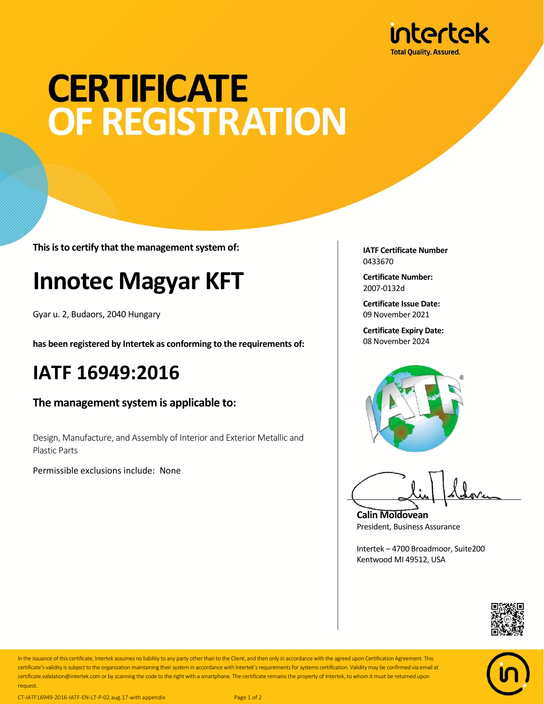

# **CERTIFICATE** OF REGISTRATION

**This is to certify that the management system of:**

## **Innotec Magyar KFT**

Gyar u. 2, Budaors, 2040 Hungary

**has been registered by Intertek as conforming to the requirements of:**

#### **IATF 16949:2016**

**The management system is applicable to:**

Design, Manufacture, and Assembly of Interior and Exterior Metallic and Plastic Parts

Permissible exclusions include: None

**IATF Certificate Number** 0433670

**Certificate Number:** 2007-0132d

**Certificate Issue Date:** 09 November 2021

**Certificate Expiry Date:** 08 November 2024



**Calin Moldovean** President, Business Assurance

Intertek – 4700 Broadmoor, Suite200 Kentwood MI 49512, USA





In the issuance of this certificate, Intertek assumes no liability to any party other than to the Client, and then only in accordance with the agreed upon Certification Agreement. This certificate's validity is subject to the organization maintaining their system in accordance with Intertek's requirements for systems certification. Validity may be confirmed via email at certificate.validation@intertek.com or by scanning the code to the right with a smartphone. The certificate remains the property of Intertek, to whom it must be returned upon request.